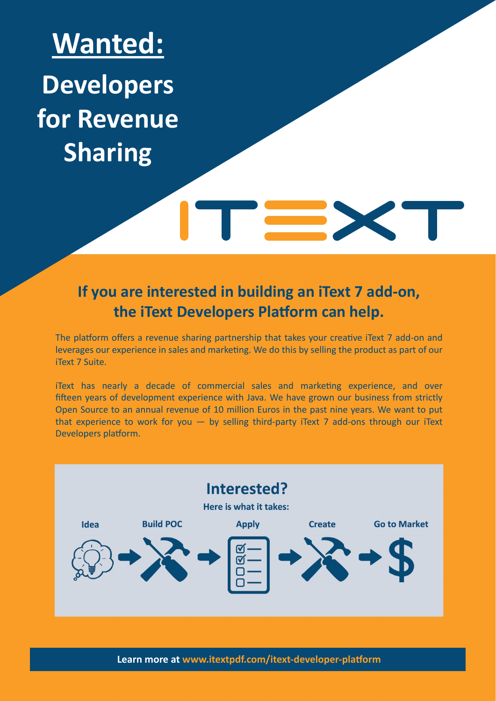## **Wanted: Developers for Revenue Sharing**

## **If you are interested in building an iText 7 add-on, the iText Developers Platform can help.**

The platform offers a revenue sharing partnership that takes your creative iText 7 add-on and leverages our experience in sales and marketing. We do this by selling the product as part of our iText 7 Suite.

iText has nearly a decade of commercial sales and marketing experience, and over fifteen years of development experience with Java. We have grown our business from strictly Open Source to an annual revenue of 10 million Euros in the past nine years. We want to put that experience to work for you — by selling third-party iText 7 add-ons through our iText Developers platform.



**Learn more at [www.itextpdf.com/itext-developer-platform](http://www.itextpdf.com/itext-developer-platform)**